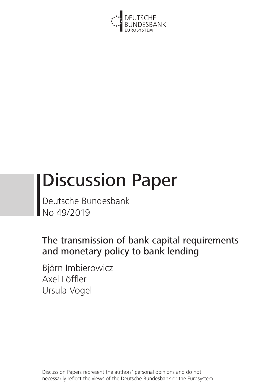

# Discussion Paper

Deutsche Bundesbank No 49/2019

The transmission of bank capital requirements and monetary policy to bank lending

Björn Imbierowicz Axel Löffler Ursula Vogel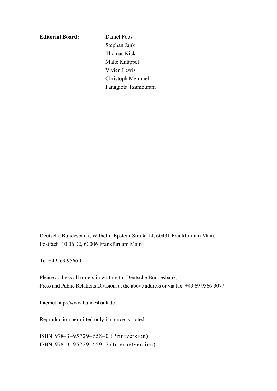**Editorial Board:** Daniel Foos

 Stephan Jank Thomas Kick Malte Knüppel Vivien Lewis Christoph Memmel Panagiota Tzamourani

Deutsche Bundesbank, Wilhelm-Epstein-Straße 14, 60431 Frankfurt am Main, Postfach 10 06 02, 60006 Frankfurt am Main

Tel +49 69 9566-0

Please address all orders in writing to: Deutsche Bundesbank, Press and Public Relations Division, at the above address or via fax +49 69 9566-3077

Internet http://www.bundesbank.de

Reproduction permitted only if source is stated.

ISBN 978–3–95729–658–0 (Printversion) ISBN 978–3–95729–659–7 (Internetversion)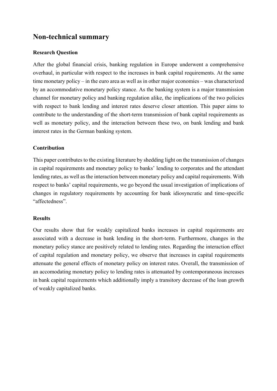# **Non-technical summary**

#### **Research Question**

After the global financial crisis, banking regulation in Europe underwent a comprehensive overhaul, in particular with respect to the increases in bank capital requirements. At the same time monetary policy – in the euro area as well as in other major economies – was characterized by an accommodative monetary policy stance. As the banking system is a major transmission channel for monetary policy and banking regulation alike, the implications of the two policies with respect to bank lending and interest rates deserve closer attention. This paper aims to contribute to the understanding of the short-term transmission of bank capital requirements as well as monetary policy, and the interaction between these two, on bank lending and bank interest rates in the German banking system.

#### **Contribution**

This paper contributes to the existing literature by shedding light on the transmission of changes in capital requirements and monetary policy to banks' lending to corporates and the attendant lending rates, as well as the interaction between monetary policy and capital requirements. With respect to banks' capital requirements, we go beyond the usual investigation of implications of changes in regulatory requirements by accounting for bank idiosyncratic and time-specific "affectedness".

#### **Results**

Our results show that for weakly capitalized banks increases in capital requirements are associated with a decrease in bank lending in the short-term. Furthermore, changes in the monetary policy stance are positively related to lending rates. Regarding the interaction effect of capital regulation and monetary policy, we observe that increases in capital requirements attenuate the general effects of monetary policy on interest rates. Overall, the transmission of an accomodating monetary policy to lending rates is attenuated by contemporaneous increases in bank capital requirements which additionally imply a transitory decrease of the loan growth of weakly capitalized banks.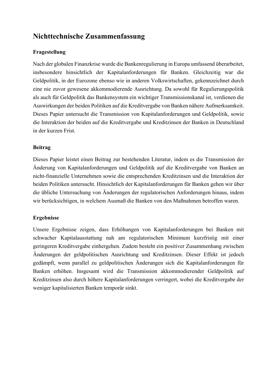# **Nichttechnische Zusammenfassung**

### **Fragestellung**

Nach der globalen Finanzkrise wurde die Bankenregulierung in Europa umfassend überarbeitet, insbesondere hinsichtlich der Kapitalanforderungen für Banken. Gleichzeitig war die Geldpolitik, in der Eurozone ebenso wie in anderen Volkswirtschaften, gekennzeichnet durch eine nie zuvor gewesene akkommodierende Ausrichtung. Da sowohl für Regulierungspolitik als auch für Geldpolitik das Bankensystem ein wichtiger Transmissionskanal ist, verdienen die Auswirkungen der beiden Politiken auf die Kreditvergabe von Banken nähere Aufmerksamkeit. Dieses Papier untersucht die Transmission von Kapitalanforderungen und Geldpolitik, sowie die Interaktion der beiden auf die Kreditvergabe und Kreditzinsen der Banken in Deutschland in der kurzen Frist.

#### **Beitrag**

Dieses Papier leistet einen Beitrag zur bestehenden Literatur, indem es die Transmission der Änderung von Kapitalanforderungen und Geldpolitik auf die Kreditvergabe von Banken an nicht-finanzielle Unternehmen sowie die entsprechenden Kreditzinsen und die Interaktion der beiden Politiken untersucht. Hinsichtlich der Kapitalanforderungen für Banken gehen wir über die übliche Untersuchung von Änderungen der regulatorischen Anforderungen hinaus, indem wir berücksichtigen, in welchem Ausmaß die Banken von den Maßnahmen betroffen waren.

#### **Ergebnisse**

Unsere Ergebnisse zeigen, dass Erhöhungen von Kapitalanforderungen bei Banken mit schwacher Kapitalausstattung nah am regulatorischen Minimum kurzfristig mit einer geringeren Kreditvergabe einhergehen. Zudem besteht ein positiver Zusammenhang zwischen Änderungen der geldpolitischen Ausrichtung und Kreditzinsen. Dieser Effekt ist jedoch gedämpft, wenn parallel zu geldpolitischen Änderungen sich die Kapitalanforderungen für Banken erhöhen. Insgesamt wird die Transmission akkommodierender Geldpolitik auf Kreditzinsen also durch höhere Kapitalanforderungen verringert, wobei die Kreditvergabe der weniger kapitalisierten Banken temporär sinkt.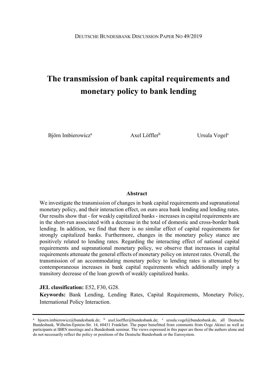# **The transmission of bank capital requirements and monetary policy to bank lending**

Björn Imbierowicz<sup>a</sup> Axel Löffler<sup>b</sup> Ursula Vogel<sup>c</sup>

#### **Abstract**

We investigate the transmission of changes in bank capital requirements and supranational monetary policy, and their interaction effect, on euro area bank lending and lending rates. Our results show that - for weakly capitalized banks - increases in capital requirements are in the short-run associated with a decrease in the total of domestic and cross-border bank lending. In addition, we find that there is no similar effect of capital requirements for strongly capitalized banks. Furthermore, changes in the monetary policy stance are positively related to lending rates. Regarding the interacting effect of national capital requirements and supranational monetary policy, we observe that increases in capital requirements attenuate the general effects of monetary policy on interest rates. Overall, the transmission of an accommodating monetary policy to lending rates is attenuated by contemporaneous increases in bank capital requirements which additionally imply a transitory decrease of the loan growth of weakly capitalized banks.

#### **JEL classification:** E52, F30, G28.

**Keywords:** Bank Lending, Lending Rates, Capital Requirements, Monetary Policy, International Policy Interaction.

<sup>&</sup>lt;sup>a</sup> bjoern.imbierowicz@bundesbank.de; <sup>b</sup> axel.loeffler@bundesbank.de; <sup>c</sup> ursula.vogel@bundesbank.de, all Deutsche Bundesbank, Wilhelm-Epstein-Str. 14, 60431 Frankfurt. The paper benefitted from comments from Ozge Akinci as well as participants at IBRN meetings and a Bundesbank seminar. The views expressed in this paper are those of the authors alone and do not necessarily reflect the policy or positions of the Deutsche Bundesbank or the Eurosystem.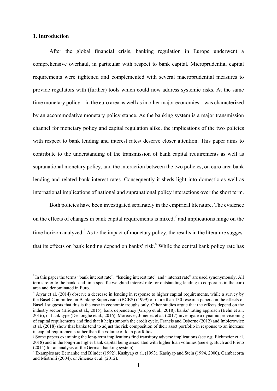#### **1. Introduction**

-

After the global financial crisis, banking regulation in Europe underwent a comprehensive overhaul, in particular with respect to bank capital. Microprudential capital requirements were tightened and complemented with several macroprudential measures to provide regulators with (further) tools which could now address systemic risks. At the same time monetary policy – in the euro area as well as in other major economies – was characterized by an accommodative monetary policy stance. As the banking system is a major transmission channel for monetary policy and capital regulation alike, the implications of the two policies with respect to bank lending and interest rates<sup>1</sup> deserve closer attention. This paper aims to contribute to the understanding of the transmission of bank capital requirements as well as supranational monetary policy, and the interaction between the two policies, on euro area bank lending and related bank interest rates. Consequently it sheds light into domestic as well as international implications of national and supranational policy interactions over the short term.

Both policies have been investigated separately in the empirical literature. The evidence on the effects of changes in bank capital requirements is mixed, $\lambda^2$  and implications hinge on the time horizon analyzed.<sup>3</sup> As to the impact of monetary policy, the results in the literature suggest that its effects on bank lending depend on banks' risk.<sup>4</sup> While the central bank policy rate has

 $1$  In this paper the terms "bank interest rate", "lending interest rate" and "interest rate" are used synonymously. All terms refer to the bank- and time-specific weighted interest rate for outstanding lending to corporates in the euro area and denominated in Euro.

<sup>&</sup>lt;sup>2</sup> Aiyar et al. (2014) observe a decrease in lending in response to higher capital requirements, while a survey by the Basel Committee on Banking Supervision (BCBS) (1999) of more than 130 research papers on the effects of Basel I suggests that this is the case in economic troughs only. Other studies argue that the effects depend on the industry sector (Bridges et al., 2015), bank dependency (Gropp et al., 2018), banks' rating approach (Behn et al., 2016), or bank type (De Jonghe et al., 2016). Moreover, Jiménez et al. (2017) investigate a dynamic provisioning of capital requirements and find that it helps smooth the credit cycle. Francis and Osborne (2012) and Imbierowicz et al. (2018) show that banks tend to adjust the risk composition of their asset portfolio in response to an increase in capital requirements rather than the volume of loan portfolios.

<sup>3</sup> Some papers examining the long-term implications find transitory adverse implications (see e.g. Eickmeier et al. 2018) and in the long-run higher bank capital being associated with higher loan volumes (see e.g. Buch and Prieto (2014) for an analysis of the German banking system).

<sup>4</sup> Examples are Bernanke and Blinder (1992), Kashyap et al. (1993), Kashyap and Stein (1994, 2000), Gambacorta and Mistrulli (2004), or Jiménez et al. (2012).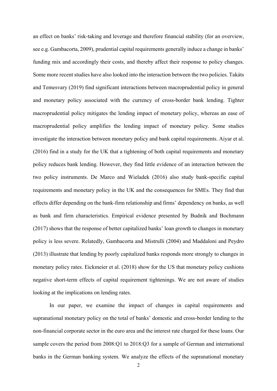an effect on banks' risk-taking and leverage and therefore financial stability (for an overview, see e.g. Gambacorta, 2009), prudential capital requirements generally induce a change in banks' funding mix and accordingly their costs, and thereby affect their response to policy changes. Some more recent studies have also looked into the interaction between the two policies. Takáts and Temesvary (2019) find significant interactions between macroprudential policy in general and monetary policy associated with the currency of cross-border bank lending. Tighter macroprudential policy mitigates the lending impact of monetary policy, whereas an ease of macroprudential policy amplifies the lending impact of monetary policy. Some studies investigate the interaction between monetary policy and bank capital requirements. Aiyar et al. (2016) find in a study for the UK that a tightening of both capital requirements and monetary policy reduces bank lending. However, they find little evidence of an interaction between the two policy instruments. De Marco and Wieladek (2016) also study bank-specific capital requirements and monetary policy in the UK and the consequences for SMEs. They find that effects differ depending on the bank-firm relationship and firms' dependency on banks, as well as bank and firm characteristics. Empirical evidence presented by Budnik and Bochmann (2017) shows that the response of better capitalized banks' loan growth to changes in monetary policy is less severe. Relatedly, Gambacorta and Mistrulli (2004) and Maddaloni and Peydro (2013) illustrate that lending by poorly capitalized banks responds more strongly to changes in monetary policy rates. Eickmeier et al. (2018) show for the US that monetary policy cushions negative short-term effects of capital requirement tightenings. We are not aware of studies looking at the implications on lending rates.

In our paper, we examine the impact of changes in capital requirements and supranational monetary policy on the total of banks' domestic and cross-border lending to the non-financial corporate sector in the euro area and the interest rate charged for these loans. Our sample covers the period from 2008:Q1 to 2018:Q3 for a sample of German and international banks in the German banking system. We analyze the effects of the supranational monetary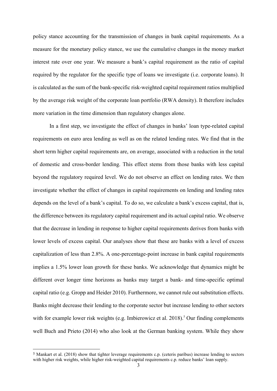policy stance accounting for the transmission of changes in bank capital requirements. As a measure for the monetary policy stance, we use the cumulative changes in the money market interest rate over one year. We measure a bank's capital requirement as the ratio of capital required by the regulator for the specific type of loans we investigate (i.e. corporate loans). It is calculated as the sum of the bank-specific risk-weighted capital requirement ratios multiplied by the average risk weight of the corporate loan portfolio (RWA density). It therefore includes more variation in the time dimension than regulatory changes alone.

In a first step, we investigate the effect of changes in banks' loan type-related capital requirements on euro area lending as well as on the related lending rates. We find that in the short term higher capital requirements are, on average, associated with a reduction in the total of domestic and cross-border lending. This effect stems from those banks with less capital beyond the regulatory required level. We do not observe an effect on lending rates. We then investigate whether the effect of changes in capital requirements on lending and lending rates depends on the level of a bank's capital. To do so, we calculate a bank's excess capital, that is, the difference between its regulatory capital requirement and its actual capital ratio. We observe that the decrease in lending in response to higher capital requirements derives from banks with lower levels of excess capital. Our analyses show that these are banks with a level of excess capitalization of less than 2.8%. A one-percentage-point increase in bank capital requirements implies a 1.5% lower loan growth for these banks. We acknowledge that dynamics might be different over longer time horizons as banks may target a bank- and time-specific optimal capital ratio (e.g. Gropp and Heider 2010). Furthermore, we cannot rule out substitution effects. Banks might decrease their lending to the corporate sector but increase lending to other sectors with for example lower risk weights (e.g. Imbierowicz et al.  $2018$ ).<sup>5</sup> Our finding complements well Buch and Prieto (2014) who also look at the German banking system. While they show

-

<sup>5</sup> Mankart et al. (2018) show that tighter leverage requirements c.p. (ceteris paribus) increase lending to sectors with higher risk weights, while higher risk-weighted capital requirements c.p. reduce banks' loan supply.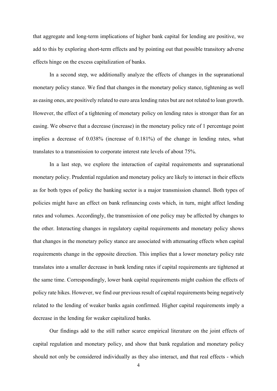that aggregate and long-term implications of higher bank capital for lending are positive, we add to this by exploring short-term effects and by pointing out that possible transitory adverse effects hinge on the excess capitalization of banks.

In a second step, we additionally analyze the effects of changes in the supranational monetary policy stance. We find that changes in the monetary policy stance, tightening as well as easing ones, are positively related to euro area lending rates but are not related to loan growth. However, the effect of a tightening of monetary policy on lending rates is stronger than for an easing. We observe that a decrease (increase) in the monetary policy rate of 1 percentage point implies a decrease of 0.038% (increase of 0.181%) of the change in lending rates, what translates to a transmission to corporate interest rate levels of about 75%.

In a last step, we explore the interaction of capital requirements and supranational monetary policy. Prudential regulation and monetary policy are likely to interact in their effects as for both types of policy the banking sector is a major transmission channel. Both types of policies might have an effect on bank refinancing costs which, in turn, might affect lending rates and volumes. Accordingly, the transmission of one policy may be affected by changes to the other. Interacting changes in regulatory capital requirements and monetary policy shows that changes in the monetary policy stance are associated with attenuating effects when capital requirements change in the opposite direction. This implies that a lower monetary policy rate translates into a smaller decrease in bank lending rates if capital requirements are tightened at the same time. Correspondingly, lower bank capital requirements might cushion the effects of policy rate hikes. However, we find our previous result of capital requirements being negatively related to the lending of weaker banks again confirmed. Higher capital requirements imply a decrease in the lending for weaker capitalized banks.

Our findings add to the still rather scarce empirical literature on the joint effects of capital regulation and monetary policy, and show that bank regulation and monetary policy should not only be considered individually as they also interact, and that real effects - which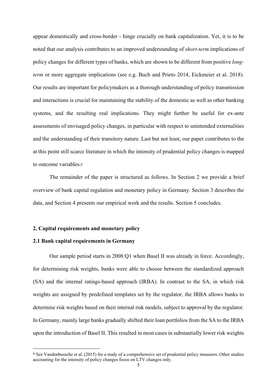appear domestically and cross-border - hinge crucially on bank capitalization. Yet, it is to be noted that our analysis contributes to an improved understanding of *short-term* implications of policy changes for different types of banks, which are shown to be different from positive *longterm* or more aggregate implications (see e.g. Buch and Prieto 2014, Eickmeier et al. 2018). Our results are important for policymakers as a thorough understanding of policy transmission and interactions is crucial for maintaining the stability of the domestic as well as other banking systems, and the resulting real implications. They might further be useful for ex-ante assessments of envisaged policy changes, in particular with respect to unintended externalities and the understanding of their transitory nature. Last but not least, our paper contributes to the at this point still scarce literature in which the intensity of prudential policy changes is mapped to outcome variables.<sup>6</sup>

The remainder of the paper is structured as follows. In Section 2 we provide a brief overview of bank capital regulation and monetary policy in Germany. Section 3 describes the data, and Section 4 presents our empirical work and the results. Section 5 concludes.

#### **2. Capital requirements and monetary policy**

#### **2.1 Bank capital requirements in Germany**

-

Our sample period starts in 2008:Q1 when Basel II was already in force. Accordingly, for determining risk weights, banks were able to choose between the standardized approach (SA) and the internal ratings-based approach (IRBA). In contrast to the SA, in which risk weights are assigned by predefined templates set by the regulator, the IRBA allows banks to determine risk weights based on their internal risk models, subject to approval by the regulator. In Germany, mainly large banks gradually shifted their loan portfolios from the SA to the IRBA upon the introduction of Basel II. This resulted in most cases in substantially lower risk weights

<sup>6</sup> See Vandenbussche et al. (2015) for a study of a comprehensive set of prudential policy measures. Other studies accounting for the intensity of policy changes focus on LTV changes only.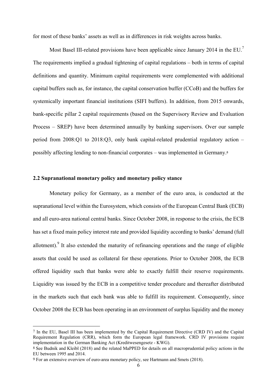for most of these banks' assets as well as in differences in risk weights across banks.

Most Basel III-related provisions have been applicable since January 2014 in the EU.<sup>7</sup> The requirements implied a gradual tightening of capital regulations – both in terms of capital definitions and quantity. Minimum capital requirements were complemented with additional capital buffers such as, for instance, the capital conservation buffer (CCoB) and the buffers for systemically important financial institutions (SIFI buffers). In addition, from 2015 onwards, bank-specific pillar 2 capital requirements (based on the Supervisory Review and Evaluation Process – SREP) have been determined annually by banking supervisors. Over our sample period from 2008:Q1 to 2018:Q3, only bank capital-related prudential regulatory action – possibly affecting lending to non-financial corporates – was implemented in Germany.<sup>8</sup>

#### **2.2 Supranational monetary policy and monetary policy stance**

Monetary policy for Germany, as a member of the euro area, is conducted at the supranational level within the Eurosystem, which consists of the European Central Bank (ECB) and all euro-area national central banks. Since October 2008, in response to the crisis, the ECB has set a fixed main policy interest rate and provided liquidity according to banks' demand (full allotment). It also extended the maturity of refinancing operations and the range of eligible assets that could be used as collateral for these operations. Prior to October 2008, the ECB offered liquidity such that banks were able to exactly fulfill their reserve requirements. Liquidity was issued by the ECB in a competitive tender procedure and thereafter distributed in the markets such that each bank was able to fulfill its requirement. Consequently, since October 2008 the ECB has been operating in an environment of surplus liquidity and the money

 $\overline{a}$ 

<sup>7</sup> In the EU, Basel III has been implemented by the Capital Requirement Directive (CRD IV) and the Capital Requirement Regulation (CRR), which form the European legal framework. CRD IV provisions require implementation in the German Banking Act (Kreditwesengesetz - KWG).

<sup>8</sup> See Budnik and Kleibl (2018) and the related MaPPED for details on all macroprudential policy actions in the EU between 1995 and 2014.

<sup>9</sup> For an extensive overview of euro-area monetary policy, see Hartmann and Smets (2018).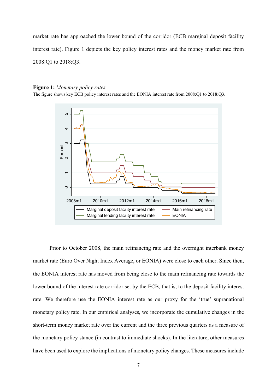market rate has approached the lower bound of the corridor (ECB marginal deposit facility interest rate). Figure 1 depicts the key policy interest rates and the money market rate from 2008:Q1 to 2018:Q3.

#### **Figure 1:** *Monetary policy rates*

The figure shows key ECB policy interest rates and the EONIA interest rate from 2008:Q1 to 2018:Q3.



Prior to October 2008, the main refinancing rate and the overnight interbank money market rate (Euro Over Night Index Average, or EONIA) were close to each other. Since then, the EONIA interest rate has moved from being close to the main refinancing rate towards the lower bound of the interest rate corridor set by the ECB, that is, to the deposit facility interest rate. We therefore use the EONIA interest rate as our proxy for the 'true' supranational monetary policy rate. In our empirical analyses, we incorporate the cumulative changes in the short-term money market rate over the current and the three previous quarters as a measure of the monetary policy stance (in contrast to immediate shocks). In the literature, other measures have been used to explore the implications of monetary policy changes. These measures include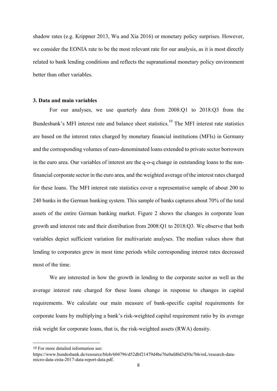shadow rates (e.g. Krippner 2013, Wu and Xia 2016) or monetary policy surprises. However, we consider the EONIA rate to be the most relevant rate for our analysis, as it is most directly related to bank lending conditions and reflects the supranational monetary policy environment better than other variables.

#### **3. Data and main variables**

For our analyses, we use quarterly data from 2008:Q1 to 2018:Q3 from the Bundesbank's MFI interest rate and balance sheet statistics.<sup>10</sup> The MFI interest rate statistics are based on the interest rates charged by monetary financial institutions (MFIs) in Germany and the corresponding volumes of euro-denominated loans extended to private sector borrowers in the euro area. Our variables of interest are the q-o-q change in outstanding loans to the nonfinancial corporate sector in the euro area, and the weighted average of the interest rates charged for these loans. The MFI interest rate statistics cover a representative sample of about 200 to 240 banks in the German banking system. This sample of banks captures about 70% of the total assets of the entire German banking market. Figure 2 shows the changes in corporate loan growth and interest rate and their distribution from 2008:Q1 to 2018:Q3. We observe that both variables depict sufficient variation for multivariate analyses. The median values show that lending to corporates grew in most time periods while corresponding interest rates decreased most of the time.

We are interested in how the growth in lending to the corporate sector as well as the average interest rate charged for these loans change in response to changes in capital requirements. We calculate our main measure of bank-specific capital requirements for corporate loans by multiplying a bank's risk-weighted capital requirement ratio by its average risk weight for corporate loans, that is, the risk-weighted assets (RWA) density.

-

<sup>10</sup> For more detailed information see:

https://www.bundesbank.de/resource/blob/604796/d52dbf21479d4be76e0afd0d3d50e7bb/mL/research-datamicro-data-zista-2017-data-report-data.pdf.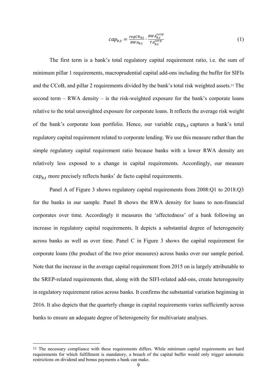$$
cap_{b,t} = \frac{regCR_{b,t}}{RWA_{b,t}} \cdot \frac{RWA_{b,t}^{corr}}{TA_{b,t}^{corr}}
$$
 (1)

The first term is a bank's total regulatory capital requirement ratio, i.e. the sum of minimum pillar 1 requirements, macroprudential capital add-ons including the buffer for SIFIs and the CCoB, and pillar 2 requirements divided by the bank's total risk weighted assets.11 The second term – RWA density – is the risk-weighted exposure for the bank's corporate loans relative to the total unweighted exposure for corporate loans. It reflects the average risk weight of the bank's corporate loan portfolio. Hence, our variable  $cap_{h,t}$  captures a bank's total regulatory capital requirement related to corporate lending. We use this measure rather than the simple regulatory capital requirement ratio because banks with a lower RWA density are relatively less exposed to a change in capital requirements. Accordingly, our measure  $cap_{b,t}$  more precisely reflects banks' de facto capital requirements.

Panel A of Figure 3 shows regulatory capital requirements from 2008:Q1 to 2018:Q3 for the banks in our sample. Panel B shows the RWA density for loans to non-financial corporates over time. Accordingly it measures the 'affectedness' of a bank following an increase in regulatory capital requirements. It depicts a substantial degree of heterogeneity across banks as well as over time. Panel C in Figure 3 shows the capital requirement for corporate loans (the product of the two prior measures) across banks over our sample period. Note that the increase in the average capital requirement from 2015 on is largely attributable to the SREP-related requirements that, along with the SIFI-related add-ons, create heterogeneity in regulatory requirement ratios across banks. It confirms the substantial variation beginning in 2016. It also depicts that the quarterly change in capital requirements varies sufficiently across banks to ensure an adequate degree of heterogeneity for multivariate analyses.

-

<sup>11</sup> The necessary compliance with these requirements differs. While minimum capital requirements are hard requirements for which fulfillment is mandatory, a breach of the capital buffer would only trigger automatic restrictions on dividend and bonus payments a bank can make.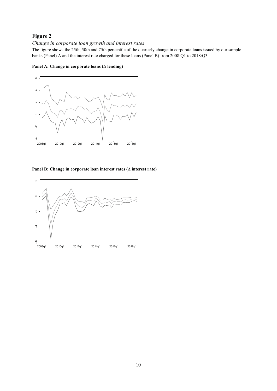## **Figure 2**

#### *Change in corporate loan growth and interest rates*

The figure shows the 25th, 50th and 75th percentile of the quarterly change in corporate loans issued by our sample banks (Panel) A and the interest rate charged for these loans (Panel B) from 2008:Q1 to 2018:Q3.



**Panel A: Change in corporate loans**  $(\triangle$  **lending)** 

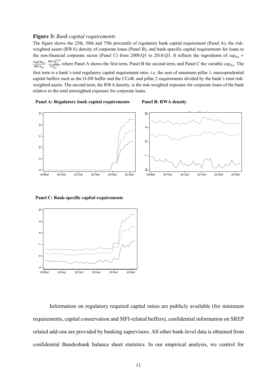#### **Figure 3:** *Bank capital requirements*

The figure shows the 25th, 50th and 75th percentile of regulatory bank capital requirement (Panel A), the riskweighted assets (RWA) density of corporate loans (Panel B), and bank-specific capital requirements for loans to the non-financial corporate sector (Panel C) from 2008:Q1 to 2018:Q3. It reflects the ingredients of  $cap_{h,t}$  =  $regCR_{b,t}$  $\frac{regCR_{b,t}}{RWA_{b,t}} \cdot \frac{RWA_{b,t}^{corp}}{TA_{b,t}^{corp}}$  $TA_{b,t}^{co}$ where Panel A shows the first term, Panel B the second term, and Panel C the variable  $cap_{b,t}$ . The first term is a bank's total regulatory capital requirement ratio, i.e. the sum of minimum pillar 1, macroprudential capital buffers such as the O-SII buffer and the CCoB, and pillar 2 requirements divided by the bank's total riskweighted assets. The second term, the RWA density, is the risk-weighted exposure for corporate loans of the bank relative to the total unweighted exposure for corporate loans.





**Panel C: Bank-specific capital requirements** 



Information on regulatory required capital ratios are publicly available (for minimum requirements, capital conservation and SIFI-related buffers), confidential information on SREP related add-ons are provided by banking supervisors. All other bank-level data is obtained from confidential Bundesbank balance sheet statistics. In our empirical analysis, we control for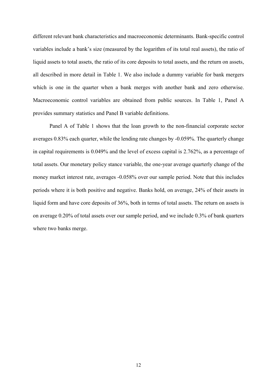different relevant bank characteristics and macroeconomic determinants. Bank-specific control variables include a bank's size (measured by the logarithm of its total real assets), the ratio of liquid assets to total assets, the ratio of its core deposits to total assets, and the return on assets, all described in more detail in Table 1. We also include a dummy variable for bank mergers which is one in the quarter when a bank merges with another bank and zero otherwise. Macroeconomic control variables are obtained from public sources. In Table 1, Panel A provides summary statistics and Panel B variable definitions.

Panel A of Table 1 shows that the loan growth to the non-financial corporate sector averages 0.83% each quarter, while the lending rate changes by -0.059%. The quarterly change in capital requirements is 0.049% and the level of excess capital is 2.762%, as a percentage of total assets. Our monetary policy stance variable, the one-year average quarterly change of the money market interest rate, averages -0.058% over our sample period. Note that this includes periods where it is both positive and negative. Banks hold, on average, 24% of their assets in liquid form and have core deposits of 36%, both in terms of total assets. The return on assets is on average 0.20% of total assets over our sample period, and we include 0.3% of bank quarters where two banks merge.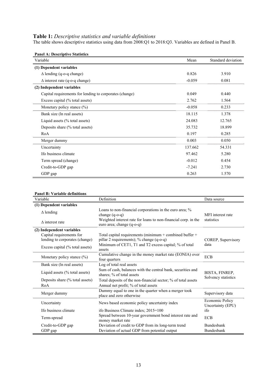#### **Table 1:** *Descriptive statistics and variable definitions*

The table shows descriptive statistics using data from 2008:Q1 to 2018:Q3. Variables are defined in Panel B.

| <b>Panel A: Descriptive Statistics</b>                  |          |                    |
|---------------------------------------------------------|----------|--------------------|
| Variable                                                | Mean     | Standard deviation |
| (1) Dependent variables                                 |          |                    |
| $\Delta$ lending (q-o-q change)                         | 0.826    | 3.910              |
| $\Delta$ interest rate (q-o-q change)                   | $-0.059$ | 0.081              |
| (2) Independent variables                               |          |                    |
| Capital requirements for lending to corporates (change) | 0.049    | 0.440              |
| Excess capital (% total assets)                         | 2.762    | 1.564              |
| Monetary policy stance $(\%)$                           | $-0.058$ | 0.233              |
| Bank size (ln real assets)                              | 18.115   | 1.378              |
| Liquid assets $(\%$ total assets)                       | 24.083   | 12.765             |
| Deposits share (% total assets)                         | 35.732   | 18.899             |
| RoA                                                     | 0.197    | 0.285              |
| Merger dummy                                            | 0.003    | 0.050              |
| Uncertainty                                             | 137.662  | 54.331             |
| Ifo business climate                                    | 97.462   | 5.280              |
| Term spread (change)                                    | $-0.012$ | 0.454              |
| Credit-to-GDP gap                                       | $-7.241$ | 2.730              |
| GDP gap                                                 | 0.263    | 1.570              |

#### **Panel B: Variable definitions**

| Variable                          | Definition                                                                                                                                    | Data source                          |  |
|-----------------------------------|-----------------------------------------------------------------------------------------------------------------------------------------------|--------------------------------------|--|
| (1) Dependent variables           |                                                                                                                                               |                                      |  |
| $\Delta$ lending                  | Loans to non-financial corporations in the euro area; %<br>change $(q-o-q)$<br>Weighted interest rate for loans to non-financial corp. in the | MFI interest rate<br>statistics      |  |
| $\Lambda$ interest rate           | euro area; change (q-o-q)                                                                                                                     |                                      |  |
| (2) Independent variables         |                                                                                                                                               |                                      |  |
| Capital requirements for          | Total capital requirements (minimum + combined buffer +                                                                                       |                                      |  |
| lending to corporates (change)    | pillar 2 requirements); % change $(q-o-q)$                                                                                                    | COREP, Supervisory                   |  |
| Excess capital (% total assets)   | Minimum of CET1, T1 and T2 excess capital; % of total<br>assets                                                                               | data                                 |  |
| Monetary policy stance $(\%)$     | Cumulative change in the money market rate (EONIA) over<br>four quarters                                                                      | <b>ECB</b>                           |  |
| Bank size (ln real assets)        | Log of total real assets                                                                                                                      |                                      |  |
| Liquid assets $(\%$ total assets) | Sum of cash, balances with the central bank, securities and<br>shares; % of total assets                                                      | BISTA, FINREP,                       |  |
| Deposits share (% total assets)   | Total deposits of the non-financial sector; % of total assets                                                                                 | Solvency statistics                  |  |
| RoA                               | Annual net profit; % of total assets                                                                                                          |                                      |  |
| Merger dummy                      | Dummy equal to one in the quarter when a merger took<br>place and zero otherwise                                                              | Supervisory data                     |  |
| Uncertainty                       | News based economic policy uncertainty index                                                                                                  | Economic Policy<br>Uncertainty (EPU) |  |
| Ifo business climate              | ifo Business Climate index; 2015=100                                                                                                          | ifo                                  |  |
| Term-spread                       | Spread between 10-year government bond interest rate and<br>money market rate                                                                 | <b>ECB</b>                           |  |
| Credit-to-GDP gap                 | Deviation of credit to GDP from its long-term trend                                                                                           | Bundesbank                           |  |
| GDP gap                           | Deviation of actual GDP from potential output                                                                                                 | Bundesbank                           |  |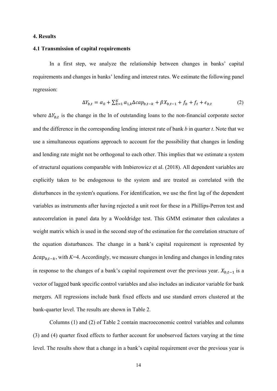#### **4. Results**

#### **4.1 Transmission of capital requirements**

In a first step, we analyze the relationship between changes in banks' capital requirements and changes in banks' lending and interest rates. We estimate the following panel regression:

$$
\Delta Y_{b,t} = \alpha_0 + \sum_{k=1}^{K} \alpha_{1,k} \Delta cap_{b,t-k} + \beta X_{b,t-1} + f_b + f_t + \epsilon_{b,t}
$$
 (2)

where  $\Delta Y_{b,t}$  is the change in the ln of outstanding loans to the non-financial corporate sector and the difference in the corresponding lending interest rate of bank *b* in quarter *t*. Note that we use a simultaneous equations approach to account for the possibility that changes in lending and lending rate might not be orthogonal to each other. This implies that we estimate a system of structural equations comparable with Imbierowicz et al. (2018). All dependent variables are explicitly taken to be endogenous to the system and are treated as correlated with the disturbances in the system's equations. For identification, we use the first lag of the dependent variables as instruments after having rejected a unit root for these in a Phillips-Perron test and autocorrelation in panel data by a Wooldridge test. This GMM estimator then calculates a weight matrix which is used in the second step of the estimation for the correlation structure of the equation disturbances. The change in a bank's capital requirement is represented by  $\Delta cap_{b,t-k}$ , with *K*=4. Accordingly, we measure changes in lending and changes in lending rates in response to the changes of a bank's capital requirement over the previous year.  $X_{b,t-1}$  is a vector of lagged bank specific control variables and also includes an indicator variable for bank mergers. All regressions include bank fixed effects and use standard errors clustered at the bank-quarter level. The results are shown in Table 2.

Columns (1) and (2) of Table 2 contain macroeconomic control variables and columns (3) and (4) quarter fixed effects to further account for unobserved factors varying at the time level. The results show that a change in a bank's capital requirement over the previous year is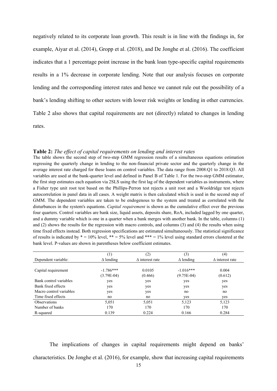negatively related to its corporate loan growth. This result is in line with the findings in, for example, Aiyar et al. (2014), Gropp et al. (2018), and De Jonghe et al. (2016). The coefficient indicates that a 1 percentage point increase in the bank loan type-specific capital requirements results in a 1% decrease in corporate lending. Note that our analysis focuses on corporate lending and the corresponding interest rates and hence we cannot rule out the possibility of a bank's lending shifting to other sectors with lower risk weights or lending in other currencies. Table 2 also shows that capital requirements are not (directly) related to changes in lending rates.

| The table shows the second step of two-step GMM regression results of a simultaneous equations estimation                  |
|----------------------------------------------------------------------------------------------------------------------------|
| regressing the quarterly change in lending to the non-financial private sector and the quarterly change in the             |
| average interest rate charged for these loans on control variables. The data range from 2008:Q1 to 2018:Q3. All            |
| variables are used at the bank-quarter level and defined in Panel B of Table 1. For the two-step GMM estimator,            |
| the first step estimates each equation via 2SLS using the first lag of the dependent variables as instruments, where       |
| a Fisher type unit root test based on the Phillips-Perron test rejects a unit root and a Wooldridge test rejects           |
| autocorrelation in panel data in all cases. A weight matrix is then calculated which is used in the second step of         |
| GMM. The dependent variables are taken to be endogenous to the system and treated as correlated with the                   |
| disturbances in the system's equations. Capital requirement is shown as the cumulative effect over the previous            |
| four quarters. Control variables are bank size, liquid assets, deposits share, RoA, included lagged by one quarter,        |
| and a dummy variable which is one in a quarter when a bank merges with another bank. In the table, columns (1)             |
| and $(2)$ shows the results for the regression with macro controls, and columns $(3)$ and $(4)$ the results when using     |
| time fixed effects instead. Both regression specifications are estimated simultaneously. The statistical significance      |
| of results is indicated by $* = 10\%$ level, $** = 5\%$ level and $*** = 1\%$ level using standard errors clustered at the |
| bank level. P-values are shown in parentheses below coefficient estimates.                                                 |

| Table 2: The effect of capital requirements on lending and interest rates |  |  |  |  |  |  |
|---------------------------------------------------------------------------|--|--|--|--|--|--|
|                                                                           |  |  |  |  |  |  |

|                         | $^{(1)}$         | (2)<br>(3)              |                  | (4)                    |
|-------------------------|------------------|-------------------------|------------------|------------------------|
| Dependent variable:     | $\Delta$ lending | $\Lambda$ interest rate | $\Delta$ lending | $\Delta$ interest rate |
|                         |                  |                         |                  |                        |
| Capital requirement     | $-1.786***$      | 0.0105                  | $-1.016***$      | 0.004                  |
|                         | $(3.79E-04)$     | (0.466)                 | $(9.75E-04)$     | (0.612)                |
| Bank control variables  | yes              | yes                     | yes              | yes                    |
| Bank fixed effects      | yes              | yes                     | yes              | yes                    |
| Macro control variables | yes              | yes                     | no               | no                     |
| Time fixed effects      | no               | no                      | yes              | yes                    |
| <b>Observations</b>     | 5,051            | 5,051                   | 5,123            | 5,123                  |
| Number of banks         | 170              | 170                     | 170              | 170                    |
| R-squared               | 0.139            | 0.224                   | 0.166            | 0.284                  |

The implications of changes in capital requirements might depend on banks' characteristics. De Jonghe et al. (2016), for example, show that increasing capital requirements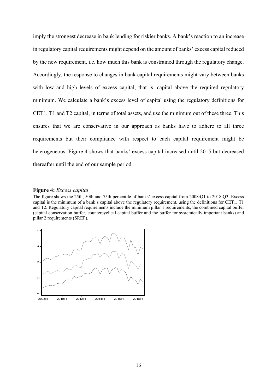imply the strongest decrease in bank lending for riskier banks. A bank's reaction to an increase in regulatory capital requirements might depend on the amount of banks' excess capital reduced by the new requirement, i.e. how much this bank is constrained through the regulatory change. Accordingly, the response to changes in bank capital requirements might vary between banks with low and high levels of excess capital, that is, capital above the required regulatory minimum. We calculate a bank's excess level of capital using the regulatory definitions for CET1, T1 and T2 capital, in terms of total assets, and use the minimum out of these three. This ensures that we are conservative in our approach as banks have to adhere to all three requirements but their compliance with respect to each capital requirement might be heterogeneous. Figure 4 shows that banks' excess capital increased until 2015 but decreased thereafter until the end of our sample period.

#### **Figure 4:** *Excess capital*

The figure shows the 25th, 50th and 75th percentile of banks' excess capital from 2008:Q1 to 2018:Q3. Excess capital is the minimum of a bank's capital above the regulatory requirement, using the definitions for CET1, T1 and T2. Regulatory capital requirements include the minimum pillar 1 requirements, the combined capital buffer (capital conservation buffer, countercyclical capital buffer and the buffer for systemically important banks) and pillar 2 requirements (SREP).

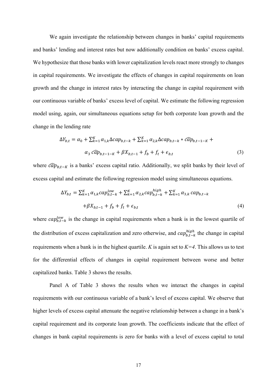We again investigate the relationship between changes in banks' capital requirements and banks' lending and interest rates but now additionally condition on banks' excess capital. We hypothesize that those banks with lower capitalization levels react more strongly to changes in capital requirements. We investigate the effects of changes in capital requirements on loan growth and the change in interest rates by interacting the change in capital requirement with our continuous variable of banks' excess level of capital. We estimate the following regression model using, again, our simultaneous equations setup for both corporate loan growth and the change in the lending rate

$$
\Delta Y_{b,t} = \alpha_0 + \sum_{k=1}^{K} \alpha_{1,k} \Delta cap_{b,t-k} + \sum_{k=1}^{K} \alpha_{2,k} \Delta cap_{b,t-k} * \widehat{cap}_{b,t-1-K} + \alpha_3 \widehat{cap}_{b,t-1-K} + \beta X_{b,t-1} + f_b + f_t + \epsilon_{b,t}
$$
\n(3)

where  $\widehat{cap}_{b,t-K}$  is a banks' excess capital ratio. Additionally, we split banks by their level of excess capital and estimate the following regression model using simultaneous equations.

$$
\Delta Y_{b,t} = \sum_{k=1}^{K} \alpha_{1,k} cap_{b,t-k}^{low} + \sum_{k=1}^{K} \alpha_{2,k} cap_{b,t-k}^{high} + \sum_{k=1}^{K} \alpha_{3,k} cap_{b,t-k} + \beta X_{b,t-1} + f_b + f_t + \epsilon_{b,t}
$$
\n
$$
(4)
$$

where  $cap_{b,t-k}^{low}$  is the change in capital requirements when a bank is in the lowest quartile of the distribution of excess capitalization and zero otherwise, and  $cap_{b,t-k}^{high}$  the change in capital requirements when a bank is in the highest quartile. *K* is again set to *K=4*. This allows us to test for the differential effects of changes in capital requirement between worse and better capitalized banks. Table 3 shows the results.

Panel A of Table 3 shows the results when we interact the changes in capital requirements with our continuous variable of a bank's level of excess capital. We observe that higher levels of excess capital attenuate the negative relationship between a change in a bank's capital requirement and its corporate loan growth. The coefficients indicate that the effect of changes in bank capital requirements is zero for banks with a level of excess capital to total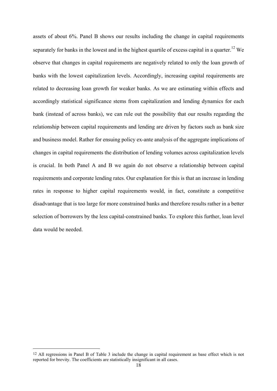assets of about 6%. Panel B shows our results including the change in capital requirements separately for banks in the lowest and in the highest quartile of excess capital in a quarter.<sup>12</sup> We observe that changes in capital requirements are negatively related to only the loan growth of banks with the lowest capitalization levels. Accordingly, increasing capital requirements are related to decreasing loan growth for weaker banks. As we are estimating within effects and accordingly statistical significance stems from capitalization and lending dynamics for each bank (instead of across banks), we can rule out the possibility that our results regarding the relationship between capital requirements and lending are driven by factors such as bank size and business model. Rather for ensuing policy ex-ante analysis of the aggregate implications of changes in capital requirements the distribution of lending volumes across capitalization levels is crucial. In both Panel A and B we again do not observe a relationship between capital requirements and corporate lending rates. Our explanation for this is that an increase in lending rates in response to higher capital requirements would, in fact, constitute a competitive disadvantage that is too large for more constrained banks and therefore results rather in a better selection of borrowers by the less capital-constrained banks. To explore this further, loan level data would be needed.

-

<sup>12</sup> All regressions in Panel B of Table 3 include the change in capital requirement as base effect which is not reported for brevity. The coefficients are statistically insignificant in all cases.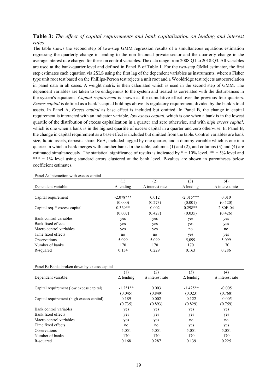#### **Table 3:** *The effect of capital requirements and bank capitalization on lending and interest rates*

The table shows the second step of two-step GMM regression results of a simultaneous equations estimation regressing the quarterly change in lending to the non-financial private sector and the quarterly change in the average interest rate charged for these on control variables. The data range from 2008:Q1 to 2018:Q3. All variables are used at the bank-quarter level and defined in Panel B of Table 1. For the two-step GMM estimator, the first step estimates each equation via 2SLS using the first lag of the dependent variables as instruments, where a Fisher type unit root test based on the Phillips-Perron test rejects a unit root and a Wooldridge test rejects autocorrelation in panel data in all cases. A weight matrix is then calculated which is used in the second step of GMM. The dependent variables are taken to be endogenous to the system and treated as correlated with the disturbances in the system's equations. *Capital requirement* is shown as the cumulative effect over the previous four quarters. *Excess capital* is defined as a bank's capital holdings above its regulatory requirement, divided by the bank's total assets. In Panel A, *Excess capital* as base effect is included but omitted. In Panel B, the change in capital requirement is interacted with an indicator variable, *low excess capital*, which is one when a bank is in the lowest quartile of the distribution of excess capitalization in a quarter and zero otherwise, and with *high excess capital*, which is one when a bank is in the highest quartile of excess capital in a quarter and zero otherwise. In Panel B, the change in capital requirement as a base effect is included but omitted from the table. Control variables are bank size, liquid assets, deposits share, RoA, included lagged by one quarter, and a dummy variable which is one in a quarter in which a bank merges with another bank. In the table, columns (1) and (2), and columns (3) and (4) are estimated simultaneously. The statistical significance of results is indicated by  $* = 10\%$  level,  $** = 5\%$  level and \*\*\* = 1% level using standard errors clustered at the bank level. P-values are shown in parentheses below coefficient estimates.

|                               | (1)              | (2)                     | (3)              | (4)                    |
|-------------------------------|------------------|-------------------------|------------------|------------------------|
| Dependent variable:           | $\Delta$ lending | $\Lambda$ interest rate | $\Delta$ lending | $\Delta$ interest rate |
|                               |                  |                         |                  |                        |
| Capital requirement           | $-2.078***$      | 0.012                   | $-2.015***$      | 0.010                  |
|                               | (0.000)          | (0.273)                 | (0.001)          | (0.520)                |
| Capital req. * excess capital | $0.369**$        | 0.002                   | $0.298**$        | 2.80E-04               |
|                               | (0.007)          | (0.427)                 | (0.035)          | (0.426)                |
| Bank control variables        | yes              | yes                     | yes              | yes                    |
| Bank fixed effects            | yes              | yes                     | yes              | yes                    |
| Macro control variables       | yes              | yes                     | no               | no                     |
| Time fixed effects            | no               | no                      | yes              | yes                    |
| <b>Observations</b>           | 5,099            | 5,099                   | 5,099            | 5,099                  |
| Number of banks               | 170              | 170                     | 170              | 170                    |
| R-squared                     | 0.134            | 0.229                   | 0.163            | 0.286                  |

Panel A: Interaction with excess capital

Panel B: Banks broken down by excess capital

|                                           | $^{(1)}$         | (2)                     | (3)              | (4)                    |
|-------------------------------------------|------------------|-------------------------|------------------|------------------------|
| Dependent variable:                       | $\Delta$ lending | $\Lambda$ interest rate | $\Delta$ lending | $\Delta$ interest rate |
|                                           |                  |                         |                  |                        |
| Capital requirement (low excess capital)  | $-1.251**$       | 0.003                   | $-1.425**$       | $-0.005$               |
|                                           | (0.045)          | (0.849)                 | (0.023)          | (0.768)                |
| Capital requirement (high excess capital) | 0.189            | 0.002                   | 0.122            | $-0.005$               |
|                                           | (0.735)          | (0.893)                 | (0.829)          | (0.759)                |
| Bank control variables                    | yes              | yes                     | yes              | yes                    |
| Bank fixed effects                        | yes              | yes                     | yes              | yes                    |
| Macro control variables                   | yes              | yes                     | no               | no                     |
| Time fixed effects                        | no               | no                      | yes              | yes                    |
| <b>Observations</b>                       | 5.051            | 5,051                   | 5.051            | 5,051                  |
| Number of banks                           | 170              | 170                     | 170              | 170                    |
| R-squared                                 | 0.168            | 0.287                   | 0.139            | 0.225                  |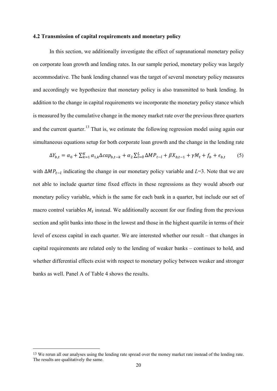#### **4.2 Transmission of capital requirements and monetary policy**

In this section, we additionally investigate the effect of supranational monetary policy on corporate loan growth and lending rates. In our sample period, monetary policy was largely accommodative. The bank lending channel was the target of several monetary policy measures and accordingly we hypothesize that monetary policy is also transmitted to bank lending. In addition to the change in capital requirements we incorporate the monetary policy stance which is measured by the cumulative change in the money market rate over the previous three quarters and the current quarter.<sup>13</sup> That is, we estimate the following regression model using again our simultaneous equations setup for both corporate loan growth and the change in the lending rate

$$
\Delta Y_{b,t} = \alpha_0 + \sum_{k=1}^{K} \alpha_{1,k} \Delta cap_{b,t-k} + \alpha_2 \sum_{l=0}^{L} \Delta MP_{t-l} + \beta X_{b,t-1} + \gamma M_t + f_b + \epsilon_{b,t} \tag{5}
$$

with Δ*MP<sub>t-1</sub>* indicating the change in our monetary policy variable and *L*=3. Note that we are not able to include quarter time fixed effects in these regressions as they would absorb our monetary policy variable, which is the same for each bank in a quarter, but include our set of macro control variables  $M_t$  instead. We additionally account for our finding from the previous section and split banks into those in the lowest and those in the highest quartile in terms of their level of excess capital in each quarter. We are interested whether our result – that changes in capital requirements are related only to the lending of weaker banks – continues to hold, and whether differential effects exist with respect to monetary policy between weaker and stronger banks as well. Panel A of Table 4 shows the results.

-

<sup>13</sup> We rerun all our analyses using the lending rate spread over the money market rate instead of the lending rate. The results are qualitatively the same.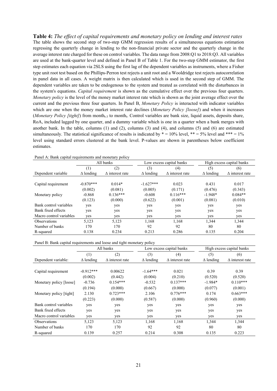**Table 4:** *The effect of capital requirements and monetary policy on lending and interest rates*  The table shows the second step of two-step GMM regression results of a simultaneous equations estimation regressing the quarterly change in lending to the non-financial private sector and the quarterly change in the average interest rate charged for these on control variables. The data range from 2008:Q1 to 2018:Q3. All variables are used at the bank-quarter level and defined in Panel B of Table 1. For the two-step GMM estimator, the first step estimates each equation via 2SLS using the first lag of the dependent variables as instruments, where a Fisher type unit root test based on the Phillips-Perron test rejects a unit root and a Wooldridge test rejects autocorrelation in panel data in all cases. A weight matrix is then calculated which is used in the second step of GMM. The dependent variables are taken to be endogenous to the system and treated as correlated with the disturbances in the system's equations. *Capital requirement* is shown as the cumulative effect over the previous four quarters. *Monetary policy* is the level of the money market interest rate which is shown as the joint average effect over the current and the previous three four quarters. In Panel B, *Monetary Policy* is interacted with indicator variables which are one when the money market interest rate declines (*Monetary Policy [loose]*) and when it increases (*Monetary Policy [tight]*) from month<sub>t-3</sub> to month<sub>t</sub>. Control variables are bank size, liquid assets, deposits share, RoA, included lagged by one quarter, and a dummy variable which is one in a quarter when a bank merges with another bank. In the table, columns (1) and (2), columns (3) and (4), and columns (5) and (6) are estimated simultaneously. The statistical significance of results is indicated by  $* = 10\%$  level,  $** = 5\%$  level and  $*** = 1\%$ level using standard errors clustered at the bank level. P-values are shown in parentheses below coefficient estimates.

|                         |                  | All banks              |                  | Low excess capital banks |                  | High excess capital banks |
|-------------------------|------------------|------------------------|------------------|--------------------------|------------------|---------------------------|
|                         | (1)              | (2)                    | (3)              | (4)                      | (5)              | (6)                       |
| Dependent variable      | $\Delta$ lending | $\Delta$ interest rate | $\Delta$ lending | $\Delta$ interest rate   | $\Delta$ lending | $\Delta$ interest rate    |
|                         |                  |                        |                  |                          |                  |                           |
| Capital requirement     | $-0.870***$      | $0.014*$               | $-1.627***$      | 0.023                    | 0.431            | 0.017                     |
|                         | (0.002)          | (0.081)                | (0.005)          | (0.171)                  | (0.476)          | (0.343)                   |
| Monetary policy         | $-0.868$         | $0.136***$             | $-0.608$         | $0.116***$               | $-1.948*$        | $0.084**$                 |
|                         | (0.123)          | (0.000)                | (0.622)          | (0.001)                  | (0.081)          | (0.010)                   |
| Bank control variables  | yes              | yes                    | yes              | yes                      | yes              | yes                       |
| Bank fixed effects      | yes              | yes                    | yes              | yes                      | yes              | yes                       |
| Macro control variables | yes              | yes                    | yes              | yes                      | yes              | yes                       |
| <b>Observations</b>     | 5,123            | 5,123                  | 1,168            | 1,168                    | 1,344            | 1,344                     |
| Number of banks         | 170              | 170                    | 92               | 92                       | 80               | 80                        |
| R-squared               | 0.138            | 0.234                  | 0.213            | 0.286                    | 0.135            | 0.204                     |

Panel A: Bank capital requirements and monetary policy

Panel B: Bank capital requirements and loose and tight monetary policy

|                         |                  | All banks              | Low excess capital banks |                        | High excess capital banks |                        |
|-------------------------|------------------|------------------------|--------------------------|------------------------|---------------------------|------------------------|
|                         | (1)              | (2)                    | (3)                      | (4)                    | (5)                       | (6)                    |
| Dependent variable:     | $\Delta$ lending | $\Delta$ interest rate | $\Delta$ lending         | $\Delta$ interest rate | $\Delta$ lending          | $\Delta$ interest rate |
|                         |                  |                        |                          |                        |                           |                        |
| Capital requirement     | $-0.912***$      | 0.00622                | $-1.64***$               | 0.021                  | 0.39                      | 0.39                   |
|                         | (0.002)          | (0.442)                | (0.004)                  | (0.210)                | (0.520)                   | (0.520)                |
| Monetary policy [loose] | $-0.736$         | $0.154***$             | $-0.532$                 | $0.137***$             | $-1.984*$                 | $0.110***$             |
|                         | (0.194)          | (0.000)                | (0.667)                  | (0.000)                | (0.077)                   | (0.001)                |
| Monetary policy [tight] | 2.130            | $0.723***$             | 2.106                    | $0.776***$             | 0.174                     | $0.663***$             |
|                         | (0.223)          | (0.000)                | (0.587)                  | (0.000)                | (0.960)                   | (0.000)                |
| Bank control variables  | yes              | yes                    | yes                      | yes                    | yes                       | yes                    |
| Bank fixed effects      | yes              | yes                    | yes                      | yes                    | yes                       | yes                    |
| Macro control variables | yes              | yes                    | yes                      | yes                    | yes                       | yes                    |
| <b>Observations</b>     | 5,123            | 5,123                  | 1,168                    | 1,168                  | 1,344                     | 1,344                  |
| Number of banks         | 170              | 170                    | 92                       | 92                     | 80                        | 80                     |
| R-squared               | 0.139            | 0.257                  | 0.214                    | 0.308                  | 0.135                     | 0.223                  |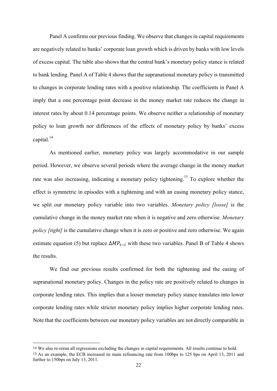Panel A confirms our previous finding. We observe that changes in capital requirements are negatively related to banks' corporate loan growth which is driven by banks with low levels of excess capital. The table also shows that the central bank's monetary policy stance is related to bank lending. Panel A of Table 4 shows that the supranational monetary policy is transmitted to changes in corporate lending rates with a positive relationship. The coefficients in Panel A imply that a one percentage point decrease in the money market rate reduces the change in interest rates by about 0.14 percentage points. We observe neither a relationship of monetary policy to loan growth nor differences of the effects of monetary policy by banks' excess capital. $^{14}$ 

As mentioned earlier, monetary policy was largely accommodative in our sample period. However, we observe several periods where the average change in the money market rate was also increasing, indicating a monetary policy tightening.<sup>15</sup> To explore whether the effect is symmetric in episodes with a tightening and with an easing monetary policy stance, we split our monetary policy variable into two variables. *Monetary policy [loose]* is the cumulative change in the money market rate when it is negative and zero otherwise. *Monetary policy [tight]* is the cumulative change when it is zero or positive and zero otherwise. We again estimate equation (5) but replace  $\Delta MP_{t-1}$  with these two variables. Panel B of Table 4 shows the results.

We find our previous results confirmed for both the tightening and the easing of supranational monetary policy. Changes in the policy rate are positively related to changes in corporate lending rates. This implies that a looser monetary policy stance translates into lower corporate lending rates while stricter monetary policy implies higher corporate lending rates. Note that the coefficients between our monetary policy variables are not directly comparable in

 $\overline{a}$ 

<sup>14</sup> We also re-rerun all regressions excluding the changes in capital requirements. All results continue to hold.

<sup>15</sup> As an example, the ECB increased its main refinancing rate from 100bps to 125 bps on April 13, 2011 and further to 150bps on July 13, 2011.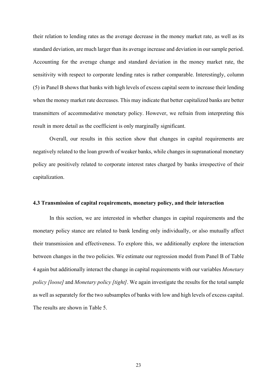their relation to lending rates as the average decrease in the money market rate, as well as its standard deviation, are much larger than its average increase and deviation in our sample period. Accounting for the average change and standard deviation in the money market rate, the sensitivity with respect to corporate lending rates is rather comparable. Interestingly, column (5) in Panel B shows that banks with high levels of excess capital seem to increase their lending when the money market rate decreases. This may indicate that better capitalized banks are better transmitters of accommodative monetary policy. However, we refrain from interpreting this result in more detail as the coefficient is only marginally significant.

Overall, our results in this section show that changes in capital requirements are negatively related to the loan growth of weaker banks, while changes in supranational monetary policy are positively related to corporate interest rates charged by banks irrespective of their capitalization.

#### **4.3 Transmission of capital requirements, monetary policy, and their interaction**

In this section, we are interested in whether changes in capital requirements and the monetary policy stance are related to bank lending only individually, or also mutually affect their transmission and effectiveness. To explore this, we additionally explore the interaction between changes in the two policies. We estimate our regression model from Panel B of Table 4 again but additionally interact the change in capital requirements with our variables *Monetary policy [loose]* and *Monetary policy [tight]*. We again investigate the results for the total sample as well as separately for the two subsamples of banks with low and high levels of excess capital. The results are shown in Table 5.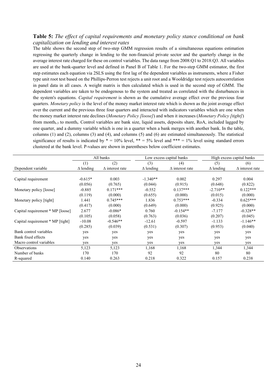#### **Table 5:** *The effect of capital requirements and monetary policy stance conditional on bank capitalization on lending and interest rates*

The table shows the second step of two-step GMM regression results of a simultaneous equations estimation regressing the quarterly change in lending to the non-financial private sector and the quarterly change in the average interest rate charged for these on control variables. The data range from 2008:Q1 to 2018:Q3. All variables are used at the bank-quarter level and defined in Panel B of Table 1. For the two-step GMM estimator, the first step estimates each equation via 2SLS using the first lag of the dependent variables as instruments, where a Fisher type unit root test based on the Phillips-Perron test rejects a unit root and a Wooldridge test rejects autocorrelation in panel data in all cases. A weight matrix is then calculated which is used in the second step of GMM. The dependent variables are taken to be endogenous to the system and treated as correlated with the disturbances in the system's equations. *Capital requirement* is shown as the cumulative average effect over the previous four quarters. *Monetary policy* is the level of the money market interest rate which is shown as the joint average effect over the current and the previous three four quarters and interacted with indicators variables which are one when the money market interest rate declines (*Monetary Policy [loose]*) and when it increases (*Monetary Policy [tight]*) from month<sub>t-3</sub> to month<sub>t</sub>. Control variables are bank size, liquid assets, deposits share, RoA, included lagged by one quarter, and a dummy variable which is one in a quarter when a bank merges with another bank. In the table, columns (1) and (2), columns (3) and (4), and columns (5) and (6) are estimated simultaneously. The statistical significance of results is indicated by  $* = 10\%$  level,  $** = 5\%$  level and  $*** = 1\%$  level using standard errors clustered at the bank level. P-values are shown in parentheses below coefficient estimates.

|                                  |                  | All banks              | Low excess capital banks |                        | High excess capital banks |                        |
|----------------------------------|------------------|------------------------|--------------------------|------------------------|---------------------------|------------------------|
|                                  | (1)              | (2)                    | (3)                      | (4)                    | (5)                       | (6)                    |
| Dependent variable               | $\Delta$ lending | $\Delta$ interest rate | $\Delta$ lending         | $\Delta$ interest rate | $\Delta$ lending          | $\Delta$ interest rate |
|                                  |                  |                        |                          |                        |                           |                        |
| Capital requirement              | $-0.615*$        | 0.003                  | $-1.340**$               | 0.002                  | 0.297                     | 0.004                  |
|                                  | (0.056)          | (0.765)                | (0.044)                  | (0.915)                | (0.648)                   | (0.822)                |
| Monetary policy [loose]          | $-0.885$         | $0.171***$             | $-0.552$                 | $0.137***$             | $-2.710**$                | $0.122***$             |
|                                  | (0.119)          | (0.000)                | (0.655)                  | (0.000)                | (0.015)                   | (0.000)                |
| Monetary policy [tight]          | 1.441            | $0.745***$             | 1.836                    | $0.753***$             | $-0.334$                  | $0.625***$             |
|                                  | (0.417)          | (0.000)                | (0.649)                  | (0.000)                | (0.925)                   | (0.000)                |
| Capital requirement * MP [loose] | 2.677            | $-0.086*$              | 0.760                    | $-0.154**$             | $-7.177$                  | $-0.328**$             |
|                                  | (0.105)          | (0.058)                | (0.763)                  | (0.036)                | (0.207)                   | (0.045)                |
| Capital requirement * MP [tight] | $-10.08$         | $-0.546**$             | $-12.61$                 | $-0.597$               | $-1.133$                  | $-1.146**$             |
|                                  | (0.285)          | (0.039)                | (0.531)                  | (0.307)                | (0.953)                   | (0.040)                |
| Bank control variables           | yes              | yes                    | yes                      | yes                    | yes                       | yes                    |
| Bank fixed effects               | yes              | yes                    | yes                      | yes                    | yes                       | yes                    |
| Macro control variables          | yes              | yes                    | yes                      | yes                    | yes                       | yes                    |
| Observations                     | 5,123            | 5,123                  | 1,168                    | 1,168                  | 1,344                     | 1,344                  |
| Number of banks                  | 170              | 170                    | 92                       | 92                     | 80                        | 80                     |
| R-squared                        | 0.140            | 0.263                  | 0.218                    | 0.322                  | 0.157                     | 0.238                  |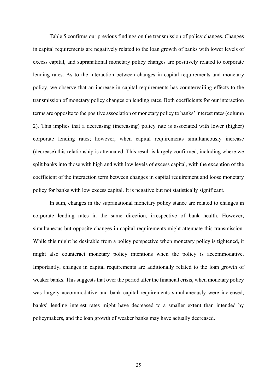Table 5 confirms our previous findings on the transmission of policy changes. Changes in capital requirements are negatively related to the loan growth of banks with lower levels of excess capital, and supranational monetary policy changes are positively related to corporate lending rates. As to the interaction between changes in capital requirements and monetary policy, we observe that an increase in capital requirements has countervailing effects to the transmission of monetary policy changes on lending rates. Both coefficients for our interaction terms are opposite to the positive association of monetary policy to banks' interest rates (column 2). This implies that a decreasing (increasing) policy rate is associated with lower (higher) corporate lending rates; however, when capital requirements simultaneously increase (decrease) this relationship is attenuated. This result is largely confirmed, including where we split banks into those with high and with low levels of excess capital, with the exception of the coefficient of the interaction term between changes in capital requirement and loose monetary policy for banks with low excess capital. It is negative but not statistically significant.

In sum, changes in the supranational monetary policy stance are related to changes in corporate lending rates in the same direction, irrespective of bank health. However, simultaneous but opposite changes in capital requirements might attenuate this transmission. While this might be desirable from a policy perspective when monetary policy is tightened, it might also counteract monetary policy intentions when the policy is accommodative. Importantly, changes in capital requirements are additionally related to the loan growth of weaker banks. This suggests that over the period after the financial crisis, when monetary policy was largely accommodative and bank capital requirements simultaneously were increased, banks' lending interest rates might have decreased to a smaller extent than intended by policymakers, and the loan growth of weaker banks may have actually decreased.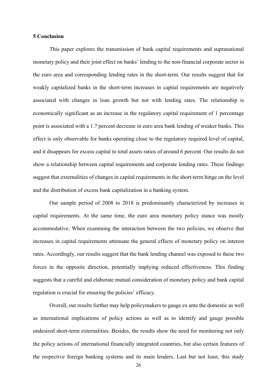#### **5 Conclusion**

This paper explores the transmission of bank capital requirements and supranational monetary policy and their joint effect on banks' lending to the non-financial corporate sector in the euro area and corresponding lending rates in the short-term. Our results suggest that for weakly capitalized banks in the short-term increases in capital requirements are negatively associated with changes in loan growth but not with lending rates. The relationship is economically significant as an increase in the regulatory capital requirement of 1 percentage point is associated with a 1.7 percent decrease in euro area bank lending of weaker banks. This effect is only observable for banks operating close to the regulatory required level of capital, and it disappears for excess capital to total assets ratios of around 6 percent. Our results do not show a relationship between capital requirements and corporate lending rates. These findings suggest that externalities of changes in capital requirements in the short-term hinge on the level and the distribution of excess bank capitalization in a banking system.

Our sample period of 2008 to 2018 is predominantly characterized by increases in capital requirements. At the same time, the euro area monetary policy stance was mostly accommodative. When examining the interaction between the two policies, we observe that increases in capital requirements attenuate the general effects of monetary policy on interest rates. Accordingly, our results suggest that the bank lending channel was exposed to these two forces in the opposite direction, potentially implying reduced effectiveness. This finding suggests that a careful and elaborate mutual consideration of monetary policy and bank capital regulation is crucial for ensuring the policies' efficacy.

Overall, our results further may help policymakers to gauge ex ante the domestic as well as international implications of policy actions as well as to identify and gauge possible undesired short-term externalities. Besides, the results show the need for monitoring not only the policy actions of international financially integrated countries, but also certain features of the respective foreign banking systems and its main lenders. Last but not least, this study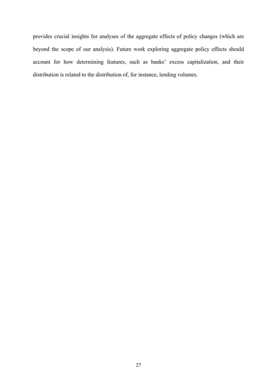provides crucial insights for analyses of the aggregate effects of policy changes (which are beyond the scope of our analysis). Future work exploring aggregate policy effects should account for how determining features, such as banks' excess capitalization, and their distribution is related to the distribution of, for instance, lending volumes.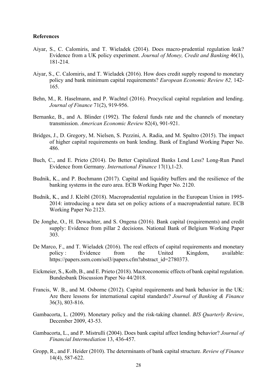#### **References**

- Aiyar, S., C. Calomiris, and T. Wieladek (2014). Does macro-prudential regulation leak? Evidence from a UK policy experiment. *Journal of Money, Credit and Banking* 46(1), 181-214.
- Aiyar, S., C. Calomiris, and T. Wieladek (2016). How does credit supply respond to monetary policy and bank minimum capital requirements? *European Economic Review 82,* 142- 165.
- Behn, M., R. Haselmann, and P. Wachtel (2016). Procyclical capital regulation and lending. *Journal of Finance* 71(2), 919-956.
- Bernanke, B., and A. Blinder (1992). The federal funds rate and the channels of monetary transmission. *American Economic Review* 82(4), 901-921.
- Bridges, J., D. Gregory, M. Nielsen, S. Pezzini, A. Radia, and M. Spaltro (2015). The impact of higher capital requirements on bank lending. Bank of England Working Paper No. 486.
- Buch, C., and E. Prieto (2014). Do Better Capitalized Banks Lend Less? Long-Run Panel Evidence from Germany. *International Finance* 17(1),1-23.
- Budnik, K., and P. Bochmann (2017). Capital and liquidity buffers and the resilience of the banking systems in the euro area. ECB Working Paper No. 2120.
- Budnik, K., and J. Kleibl (2018). Macroprudential regulation in the European Union in 1995- 2014: introducing a new data set on policy actions of a macroprudential nature. ECB Working Paper No 2123.
- De Jonghe, O., H. Dewachter, and S. Ongena (2016). Bank capital (requirements) and credit supply: Evidence from pillar 2 decisions. National Bank of Belgium Working Paper 303.
- De Marco, F., and T. Wieladek (2016). The real effects of capital requirements and monetary policy : Evidence from the United Kingdom, available: https://papers.ssrn.com/sol3/papers.cfm?abstract\_id=2780373.
- Eickmeier, S., Kolb, B., and E. Prieto (2018). Macroeconomic effects of bank capital regulation. Bundesbank Discussion Paper No 44/2018.
- Francis, W. B., and M. Osborne (2012). Capital requirements and bank behavior in the UK: Are there lessons for international capital standards? *Journal of Banking & Finance* 36(3), 803-816.
- Gambacorta, L. (2009). Monetary policy and the risk-taking channel. *BIS Quarterly Review*, December 2009, 43-53.
- Gambacorta, L., and P. Mistrulli (2004). Does bank capital affect lending behavior? *Journal of Financial Intermediation* 13, 436-457.
- Gropp, R., and F. Heider (2010). The determinants of bank capital structure. *Review of Finance*  14(4), 587-622.